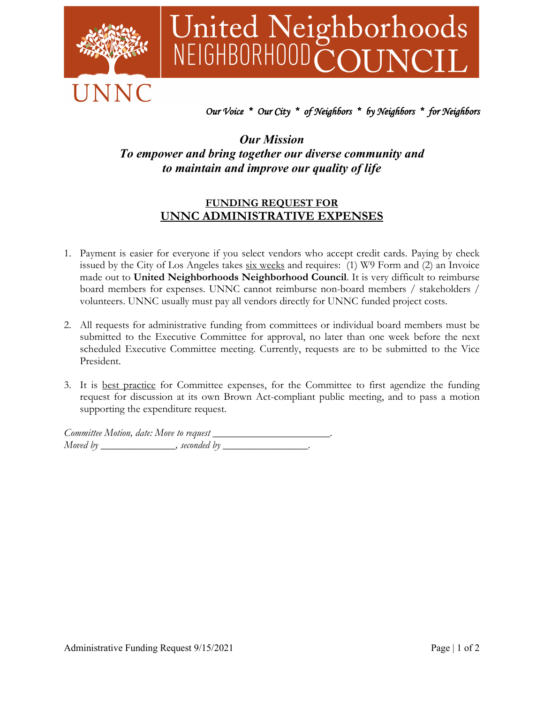

# United Neighborhoods<br>NEIGHBORHOODCOUNCIL

## *Our Voice \* Our City \* of Neighbors \* by Neighbors \* for Neighbors*

## *Our Mission To empower and bring together our diverse community and to maintain and improve our quality of life*

### **FUNDING REQUEST FOR UNNC ADMINISTRATIVE EXPENSES**

- 1. Payment is easier for everyone if you select vendors who accept credit cards. Paying by check issued by the City of Los Angeles takes  $six$  weeks and requires: (1) W9 Form and (2) an Invoice made out to **United Neighborhoods Neighborhood Council**. It is very difficult to reimburse board members for expenses. UNNC cannot reimburse non-board members / stakeholders / volunteers. UNNC usually must pay all vendors directly for UNNC funded project costs.
- 2. All requests for administrative funding from committees or individual board members must be submitted to the Executive Committee for approval, no later than one week before the next scheduled Executive Committee meeting. Currently, requests are to be submitted to the Vice President.
- 3. It is best practice for Committee expenses, for the Committee to first agendize the funding request for discussion at its own Brown Act-compliant public meeting, and to pass a motion supporting the expenditure request.

*Committee Motion, date: Move to request \_\_\_\_\_\_\_\_\_\_\_\_\_\_\_\_\_\_\_\_\_\_. Moved by* \_\_\_\_\_\_\_\_\_\_\_\_, seconded by \_\_\_\_\_\_\_\_\_\_\_\_\_\_\_\_.